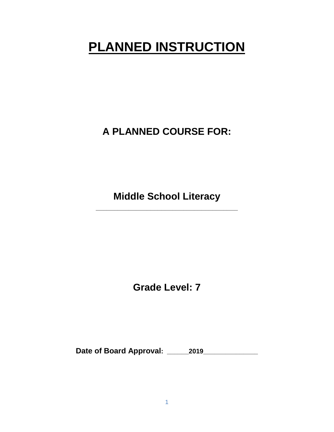# **PLANNED INSTRUCTION**

**A PLANNED COURSE FOR:**

**Middle School Literacy** 

**\_\_\_\_\_\_\_\_\_\_\_\_\_\_\_\_\_\_\_\_\_\_\_\_\_\_\_\_\_\_\_\_\_\_\_\_\_\_\_**

**Grade Level: 7**

**Date of Board Approval: \_\_\_\_\_\_2019\_\_\_\_\_\_\_\_\_\_\_\_\_\_\_**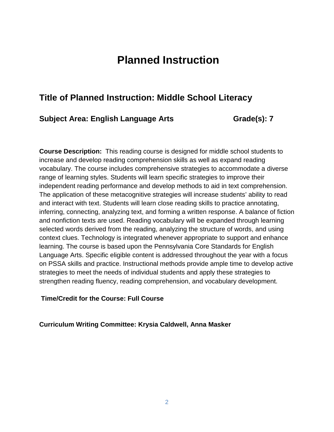# **Planned Instruction**

# **Title of Planned Instruction: Middle School Literacy**

#### **Subject Area: English Language Arts Grade(s): 7**

**Course Description:** This reading course is designed for middle school students to increase and develop reading comprehension skills as well as expand reading vocabulary. The course includes comprehensive strategies to accommodate a diverse range of learning styles. Students will learn specific strategies to improve their independent reading performance and develop methods to aid in text comprehension. The application of these metacognitive strategies will increase students' ability to read and interact with text. Students will learn close reading skills to practice annotating, inferring, connecting, analyzing text, and forming a written response. A balance of fiction and nonfiction texts are used. Reading vocabulary will be expanded through learning selected words derived from the reading, analyzing the structure of words, and using context clues. Technology is integrated whenever appropriate to support and enhance learning. The course is based upon the Pennsylvania Core Standards for English Language Arts. Specific eligible content is addressed throughout the year with a focus on PSSA skills and practice. Instructional methods provide ample time to develop active strategies to meet the needs of individual students and apply these strategies to strengthen reading fluency, reading comprehension, and vocabulary development.

#### **Time/Credit for the Course: Full Course**

**Curriculum Writing Committee: Krysia Caldwell, Anna Masker**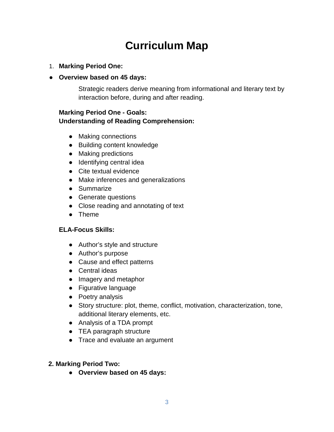# **Curriculum Map**

- 1. **Marking Period One:**
- **Overview based on 45 days:**

Strategic readers derive meaning from informational and literary text by interaction before, during and after reading.

#### **Marking Period One - Goals: Understanding of Reading Comprehension:**

- Making connections
- Building content knowledge
- Making predictions
- Identifying central idea
- Cite textual evidence
- Make inferences and generalizations
- Summarize
- Generate questions
- Close reading and annotating of text
- Theme

#### **ELA-Focus Skills:**

- Author's style and structure
- Author's purpose
- Cause and effect patterns
- Central ideas
- Imagery and metaphor
- Figurative language
- Poetry analysis
- Story structure: plot, theme, conflict, motivation, characterization, tone, additional literary elements, etc.
- Analysis of a TDA prompt
- TEA paragraph structure
- Trace and evaluate an argument

#### **2. Marking Period Two:**

● **Overview based on 45 days:**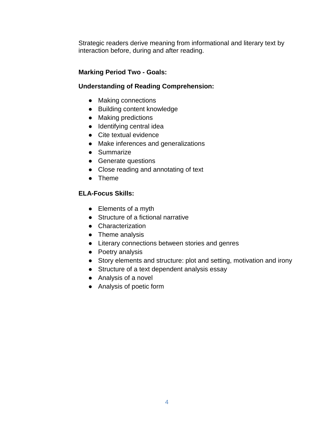Strategic readers derive meaning from informational and literary text by interaction before, during and after reading.

#### **Marking Period Two - Goals:**

#### **Understanding of Reading Comprehension:**

- Making connections
- Building content knowledge
- Making predictions
- Identifying central idea
- Cite textual evidence
- Make inferences and generalizations
- Summarize
- Generate questions
- Close reading and annotating of text
- Theme

#### **ELA-Focus Skills:**

- Elements of a myth
- Structure of a fictional narrative
- Characterization
- Theme analysis
- Literary connections between stories and genres
- Poetry analysis
- Story elements and structure: plot and setting, motivation and irony
- Structure of a text dependent analysis essay
- Analysis of a novel
- Analysis of poetic form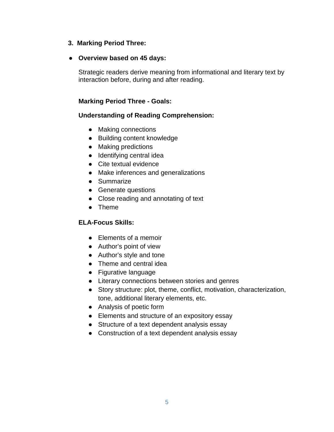#### **3. Marking Period Three:**

#### ● **Overview based on 45 days:**

Strategic readers derive meaning from informational and literary text by interaction before, during and after reading.

#### **Marking Period Three - Goals:**

#### **Understanding of Reading Comprehension:**

- Making connections
- Building content knowledge
- Making predictions
- Identifying central idea
- Cite textual evidence
- Make inferences and generalizations
- Summarize
- Generate questions
- Close reading and annotating of text
- Theme

#### **ELA-Focus Skills:**

- Elements of a memoir
- Author's point of view
- Author's style and tone
- Theme and central idea
- Figurative language
- Literary connections between stories and genres
- Story structure: plot, theme, conflict, motivation, characterization, tone, additional literary elements, etc.
- Analysis of poetic form
- Elements and structure of an expository essay
- Structure of a text dependent analysis essay
- Construction of a text dependent analysis essay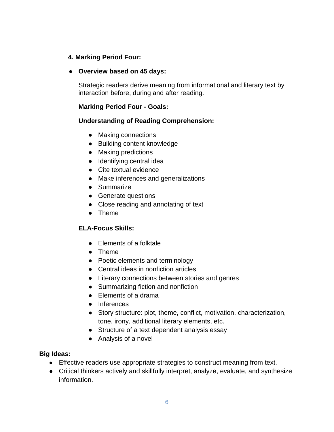#### **4. Marking Period Four:**

#### ● **Overview based on 45 days:**

Strategic readers derive meaning from informational and literary text by interaction before, during and after reading.

#### **Marking Period Four - Goals:**

#### **Understanding of Reading Comprehension:**

- Making connections
- Building content knowledge
- Making predictions
- Identifying central idea
- Cite textual evidence
- Make inferences and generalizations
- Summarize
- Generate questions
- Close reading and annotating of text
- Theme

#### **ELA-Focus Skills:**

- Elements of a folktale
- Theme
- Poetic elements and terminology
- Central ideas in nonfiction articles
- Literary connections between stories and genres
- Summarizing fiction and nonfiction
- Flements of a drama
- Inferences
- Story structure: plot, theme, conflict, motivation, characterization, tone, irony, additional literary elements, etc.
- Structure of a text dependent analysis essay
- Analysis of a novel

#### **Big Ideas:**

- [Effective readers use appropriate strategies to construct meaning from text.](http://www.pdesas.org/CMap/CFramework)
- Critical thinkers actively and skillfully interpret, analyze, evaluate, and synthesize information.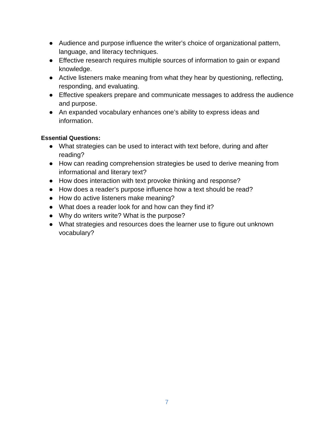- Audience and purpose influence the writer's choice of organizational pattern, language, and literacy techniques.
- Effective research requires multiple sources of information to gain or expand knowledge.
- Active listeners make meaning from what they hear by questioning, reflecting, responding, and evaluating.
- Effective speakers prepare and communicate messages to address the audience and purpose.
- An expanded vocabulary enhances one's ability to express ideas and information.

#### **Essential Questions:**

- What strategies can be used to interact with text before, during and after reading?
- How can reading comprehension strategies be used to derive meaning from informational and literary text?
- How does interaction with text provoke thinking and response?
- How does a reader's purpose influence how a text should be read?
- How do active listeners make meaning?
- What does a reader look for and how can they find it?
- Why do writers write? What is the purpose?
- What strategies and resources does the learner use to figure out unknown vocabulary?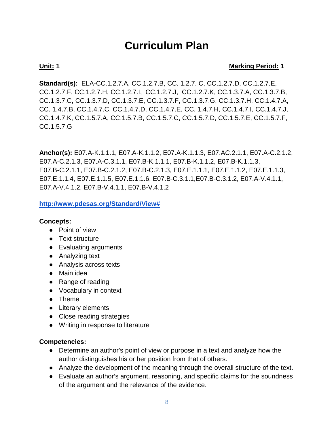# **Curriculum Plan**

#### **Unit:** 1 Marking Period: 1

**Standard(s):** ELA-CC.1.2.7.A, CC.1.2.7.B, CC. 1.2.7. C, CC.1.2.7.D, CC.1.2.7.E, CC.1.2.7.F, CC.1.2.7.H, CC.1.2.7.I, CC.1.2.7.J, CC.1.2.7.K, CC.1.3.7.A, CC.1.3.7.B, CC.1.3.7.C, CC.1.3.7.D, CC.1.3.7.E, CC.1.3.7.F, CC.1.3.7.G, CC.1.3.7.H, CC.1.4.7.A, CC. 1.4.7.B, CC.1.4.7.C, CC.1.4.7.D, CC.1.4.7.E, CC. 1.4.7.H, CC.1.4.7.I, CC.1.4.7.J, CC.1.4.7.K, CC.1.5.7.A, CC.1.5.7.B, CC.1.5.7.C, CC.1.5.7.D, CC.1.5.7.E, CC.1.5.7.F, CC.1.5.7.G

**Anchor(s):** E07.A-K.1.1.1, E07.A-K.1.1.2, E07.A-K.1.1.3, E07.AC.2.1.1, E07.A-C.2.1.2, E07.A-C.2.1.3, E07.A-C.3.1.1, E07.B-K.1.1.1, E07.B-K.1.1.2, E07.B-K.1.1.3, E07.B-C.2.1.1, E07.B-C.2.1.2, E07.B-C.2.1.3, E07.E.1.1.1, E07.E.1.1.2, E07.E.1.1.3, E07.E.1.1.4, E07.E.1.1.5, E07.E.1.1.6, E07.B-C.3.1.1,E07.B-C.3.1.2, E07.A-V.4.1.1, E07.A-V.4.1.2, E07.B-V.4.1.1, E07.B-V.4.1.2

**[http://www.pdesas.org/Standard/View#](http://www.pdesas.org/Standard/View)**

#### **Concepts:**

- Point of view
- Text structure
- Evaluating arguments
- Analyzing text
- Analysis across texts
- Main idea
- Range of reading
- Vocabulary in context
- Theme
- Literary elements
- Close reading strategies
- Writing in response to literature

#### **Competencies:**

- Determine an author's point of view or purpose in a text and analyze how the author distinguishes his or her position from that of others.
- Analyze the development of the meaning through the overall structure of the text.
- Evaluate an author's argument, reasoning, and specific claims for the soundness of the argument and the relevance of the evidence.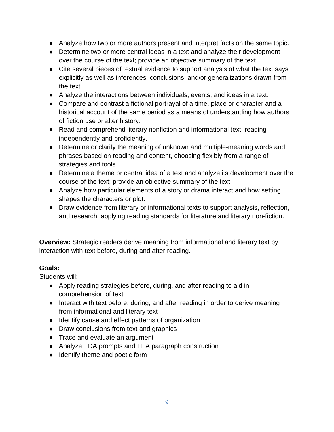- Analyze how two or more authors present and interpret facts on the same topic.
- Determine two or more central ideas in a text and analyze their development over the course of the text; provide an objective summary of the text.
- Cite several pieces of textual evidence to support analysis of what the text says explicitly as well as inferences, conclusions, and/or generalizations drawn from the text.
- Analyze the interactions between individuals, events, and ideas in a text.
- Compare and contrast a fictional portrayal of a time, place or character and a historical account of the same period as a means of understanding how authors of fiction use or alter history.
- Read and comprehend literary nonfiction and informational text, reading independently and proficiently.
- Determine or clarify the meaning of unknown and multiple-meaning words and phrases based on reading and content, choosing flexibly from a range of strategies and tools.
- Determine a theme or central idea of a text and analyze its development over the course of the text; provide an objective summary of the text.
- Analyze how particular elements of a story or drama interact and how setting shapes the characters or plot.
- Draw evidence from literary or informational texts to support analysis, reflection, and research, applying reading standards for literature and literary non-fiction.

**Overview:** Strategic readers derive meaning from informational and literary text by interaction with text before, during and after reading.

### **Goals:**

Students will:

- Apply reading strategies before, during, and after reading to aid in comprehension of text
- Interact with text before, during, and after reading in order to derive meaning from informational and literary text
- Identify cause and effect patterns of organization
- Draw conclusions from text and graphics
- Trace and evaluate an argument
- Analyze TDA prompts and TEA paragraph construction
- Identify theme and poetic form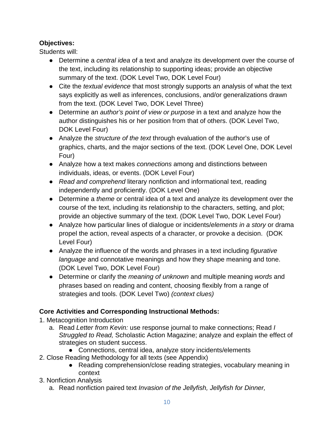### **Objectives:**

Students will:

- Determine a *central idea* of a text and analyze its development over the course of the text, including its relationship to supporting ideas; provide an objective summary of the text. (DOK Level Two, DOK Level Four)
- Cite the *textual evidence* that most strongly supports an analysis of what the text says explicitly as well as inferences, conclusions, and/or generalizations drawn from the text. (DOK Level Two, DOK Level Three)
- Determine an *author's point of view or purpose* in a text and analyze how the author distinguishes his or her position from that of others. (DOK Level Two, DOK Level Four)
- Analyze the *structure of the text* through evaluation of the author's use of graphics, charts, and the major sections of the text. (DOK Level One, DOK Level Four)
- Analyze how a text makes *connections* among and distinctions between individuals, ideas, or events. (DOK Level Four)
- *Read and comprehend* literary nonfiction and informational text, reading independently and proficiently. (DOK Level One)
- Determine a *theme* or central idea of a text and analyze its development over the course of the text, including its relationship to the characters, setting, and plot; provide an objective summary of the text. (DOK Level Two, DOK Level Four)
- Analyze how particular lines of dialogue or incidents/*elements in a story* or drama propel the action, reveal aspects of a character, or provoke a decision. (DOK Level Four)
- Analyze the influence of the words and phrases in a text including *figurative language* and connotative meanings and how they shape meaning and tone. (DOK Level Two, DOK Level Four)
- Determine or clarify the *meaning of unknown* and multiple meaning *words* and phrases based on reading and content, choosing flexibly from a range of strategies and tools. (DOK Level Two) *(context clues)*

### **Core Activities and Corresponding Instructional Methods:**

- 1. Metacognition Introduction
	- a. Read *Letter from Kevin:* use response journal to make connections; Read *I Struggled to Read,* Scholastic Action Magazine; analyze and explain the effect of strategies on student success.
	- Connections, central idea, analyze story incidents/elements
- 2. Close Reading Methodology for all texts (see Appendix)
	- Reading comprehension/close reading strategies, vocabulary meaning in context
- 3. Nonfiction Analysis
	- a. Read nonfiction paired text *Invasion of the Jellyfish, Jellyfish for Dinner,*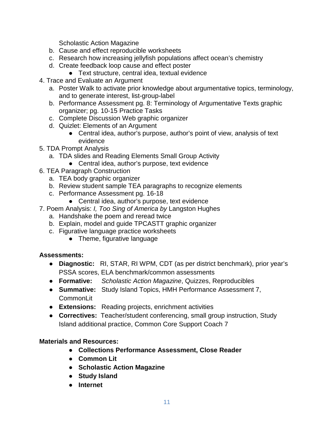Scholastic Action Magazine

- b. Cause and effect reproducible worksheets
- c. Research how increasing jellyfish populations affect ocean's chemistry
- d. Create feedback loop cause and effect poster
	- Text structure, central idea, textual evidence
- 4. Trace and Evaluate an Argument
	- a. Poster Walk to activate prior knowledge about argumentative topics, terminology, and to generate interest, list-group-label
	- b. Performance Assessment pg. 8: Terminology of Argumentative Texts graphic organizer; pg. 10-15 Practice Tasks
	- c. Complete Discussion Web graphic organizer
	- d. Quizlet: Elements of an Argument
		- Central idea, author's purpose, author's point of view, analysis of text evidence
- 5. TDA Prompt Analysis
	- a. TDA slides and Reading Elements Small Group Activity
		- Central idea, author's purpose, text evidence
- 6. TEA Paragraph Construction
	- a. TEA body graphic organizer
	- b. Review student sample TEA paragraphs to recognize elements
	- c. Performance Assessment pg. 16-18
		- Central idea, author's purpose, text evidence
- 7. Poem Analysis: *I, Too Sing of America by* Langston Hughes
	- a. Handshake the poem and reread twice
	- b. Explain, model and guide TPCASTT graphic organizer
	- c. Figurative language practice worksheets
		- Theme, figurative language

### **Assessments:**

- **Diagnostic:** RI, STAR, RI WPM, CDT (as per district benchmark), prior year's PSSA scores, ELA benchmark/common assessments
- **Formative:** *Scholastic Action Magazine*, Quizzes, Reproducibles
- **Summative:** Study Island Topics, HMH Performance Assessment 7, CommonLit
- **Extensions:** Reading projects, enrichment activities
- **Correctives:** Teacher/student conferencing, small group instruction, Study Island additional practice, Common Core Support Coach 7

#### **Materials and Resources:**

- **Collections Performance Assessment, Close Reader**
- **Common Lit**
- **Scholastic Action Magazine**
- **Study Island**
- **Internet**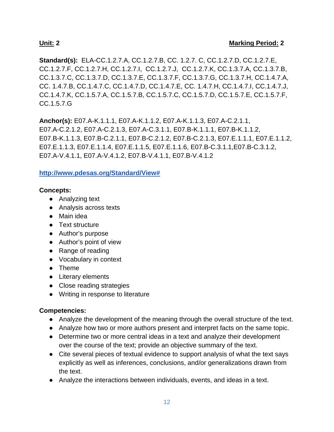**Standard(s):** ELA-CC.1.2.7.A, CC.1.2.7.B, CC. 1.2.7. C, CC.1.2.7.D, CC.1.2.7.E, CC.1.2.7.F, CC.1.2.7.H, CC.1.2.7.I, CC.1.2.7.J, CC.1.2.7.K, CC.1.3.7.A, CC.1.3.7.B, CC.1.3.7.C, CC.1.3.7.D, CC.1.3.7.E, CC.1.3.7.F, CC.1.3.7.G, CC.1.3.7.H, CC.1.4.7.A, CC. 1.4.7.B, CC.1.4.7.C, CC.1.4.7.D, CC.1.4.7.E, CC. 1.4.7.H, CC.1.4.7.I, CC.1.4.7.J, CC.1.4.7.K, CC.1.5.7.A, CC.1.5.7.B, CC.1.5.7.C, CC.1.5.7.D, CC.1.5.7.E, CC.1.5.7.F, CC.1.5.7.G

**Anchor(s):** E07.A-K.1.1.1, E07.A-K.1.1.2, E07.A-K.1.1.3, E07.A-C.2.1.1, E07.A-C.2.1.2, E07.A-C.2.1.3, E07.A-C.3.1.1, E07.B-K.1.1.1, E07.B-K.1.1.2, E07.B-K.1.1.3, E07.B-C.2.1.1, E07.B-C.2.1.2, E07.B-C.2.1.3, E07.E.1.1.1, E07.E.1.1.2, E07.E.1.1.3, E07.E.1.1.4, E07.E.1.1.5, E07.E.1.1.6, E07.B-C.3.1.1,E07.B-C.3.1.2, E07.A-V.4.1.1, E07.A-V.4.1.2, E07.B-V.4.1.1, E07.B-V.4.1.2

#### **[http://www.pdesas.org/Standard/View#](http://www.pdesas.org/Standard/View)**

#### **Concepts:**

- Analyzing text
- Analysis across texts
- Main idea
- Text structure
- Author's purpose
- Author's point of view
- Range of reading
- Vocabulary in context
- Theme
- Literary elements
- Close reading strategies
- Writing in response to literature

#### **Competencies:**

- Analyze the development of the meaning through the overall structure of the text.
- Analyze how two or more authors present and interpret facts on the same topic.
- Determine two or more central ideas in a text and analyze their development over the course of the text; provide an objective summary of the text.
- Cite several pieces of textual evidence to support analysis of what the text says explicitly as well as inferences, conclusions, and/or generalizations drawn from the text.
- Analyze the interactions between individuals, events, and ideas in a text.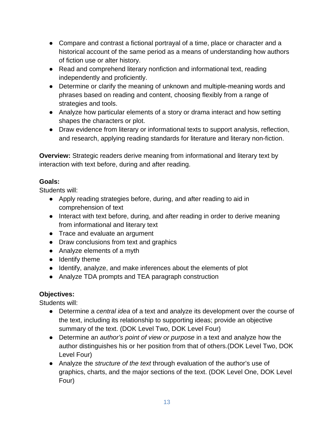- Compare and contrast a fictional portrayal of a time, place or character and a historical account of the same period as a means of understanding how authors of fiction use or alter history.
- Read and comprehend literary nonfiction and informational text, reading independently and proficiently.
- Determine or clarify the meaning of unknown and multiple-meaning words and phrases based on reading and content, choosing flexibly from a range of strategies and tools.
- Analyze how particular elements of a story or drama interact and how setting shapes the characters or plot.
- Draw evidence from literary or informational texts to support analysis, reflection, and research, applying reading standards for literature and literary non-fiction.

**Overview:** Strategic readers derive meaning from informational and literary text by interaction with text before, during and after reading.

### **Goals:**

Students will:

- Apply reading strategies before, during, and after reading to aid in comprehension of text
- Interact with text before, during, and after reading in order to derive meaning from informational and literary text
- Trace and evaluate an argument
- Draw conclusions from text and graphics
- Analyze elements of a myth
- Identify theme
- Identify, analyze, and make inferences about the elements of plot
- Analyze TDA prompts and TEA paragraph construction

## **Objectives:**

Students will:

- Determine a *central idea* of a text and analyze its development over the course of the text, including its relationship to supporting ideas; provide an objective summary of the text. (DOK Level Two, DOK Level Four)
- Determine an *author's point of view or purpose* in a text and analyze how the author distinguishes his or her position from that of others.(DOK Level Two, DOK Level Four)
- Analyze the *structure of the text* through evaluation of the author's use of graphics, charts, and the major sections of the text. (DOK Level One, DOK Level Four)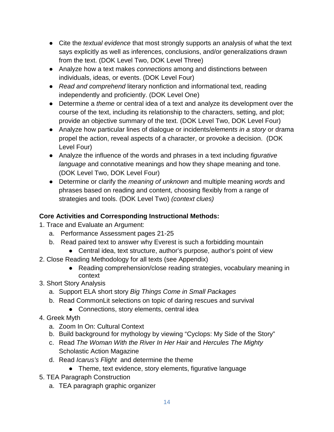- Cite the *textual evidence* that most strongly supports an analysis of what the text says explicitly as well as inferences, conclusions, and/or generalizations drawn from the text. (DOK Level Two, DOK Level Three)
- Analyze how a text makes *connections* among and distinctions between individuals, ideas, or events. (DOK Level Four)
- *Read and comprehend* literary nonfiction and informational text, reading independently and proficiently. (DOK Level One)
- Determine a *theme* or central idea of a text and analyze its development over the course of the text, including its relationship to the characters, setting, and plot; provide an objective summary of the text. (DOK Level Two, DOK Level Four)
- Analyze how particular lines of dialogue or incidents/*elements in a story* or drama propel the action, reveal aspects of a character, or provoke a decision. (DOK Level Four)
- Analyze the influence of the words and phrases in a text including *figurative language* and connotative meanings and how they shape meaning and tone. (DOK Level Two, DOK Level Four)
- Determine or clarify the *meaning of unknown* and multiple meaning *words* and phrases based on reading and content, choosing flexibly from a range of strategies and tools. (DOK Level Two) *(context clues)*

## **Core Activities and Corresponding Instructional Methods:**

- 1. Trace and Evaluate an Argument:
	- a. Performance Assessment pages 21-25
	- b. Read paired text to answer why Everest is such a forbidding mountain
		- Central idea, text structure, author's purpose, author's point of view
- 2. Close Reading Methodology for all texts (see Appendix)
	- Reading comprehension/close reading strategies, vocabulary meaning in context
- 3. Short Story Analysis
	- a. Support ELA short story *Big Things Come in Small Packages*
	- b. Read CommonLit selections on topic of daring rescues and survival
		- Connections, story elements, central idea
- 4. Greek Myth
	- a. Zoom In On: Cultural Context
	- b. Build background for mythology by viewing "Cyclops: My Side of the Story"
	- c. Read *The Woman With the River In Her Hair* and *Hercules The Mighty*  Scholastic Action Magazine
	- d. Read *Icarus's Flight* and determine the theme
		- Theme, text evidence, story elements, figurative language
- 5. TEA Paragraph Construction
	- a. TEA paragraph graphic organizer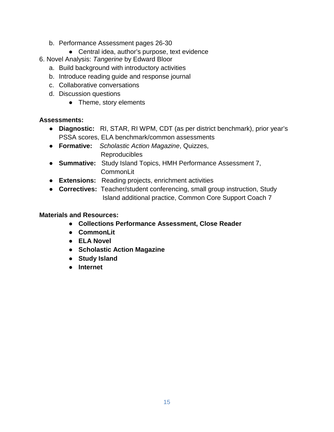- b. Performance Assessment pages 26-30
	- Central idea, author's purpose, text evidence
- 6. Novel Analysis: *Tangerine* by Edward Bloor
	- a. Build background with introductory activities
	- b. Introduce reading guide and response journal
	- c. Collaborative conversations
	- d. Discussion questions
		- Theme, story elements

#### **Assessments:**

- **Diagnostic:** RI, STAR, RI WPM, CDT (as per district benchmark), prior year's PSSA scores, ELA benchmark/common assessments
- **Formative:** *Scholastic Action Magazine*, Quizzes, Reproducibles
- **Summative:** Study Island Topics, HMH Performance Assessment 7, **CommonLit**
- **Extensions:** Reading projects, enrichment activities
- **Correctives:** Teacher/student conferencing, small group instruction, Study Island additional practice, Common Core Support Coach 7

#### **Materials and Resources:**

- **Collections Performance Assessment, Close Reader**
- **CommonLit**
- **ELA Novel**
- **Scholastic Action Magazine**
- **Study Island**
- **Internet**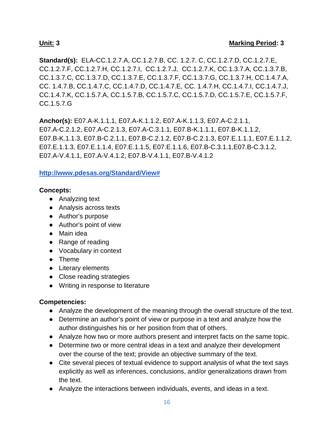**Standard(s):** ELA-CC.1.2.7.A, CC.1.2.7.B, CC. 1.2.7. C, CC.1.2.7.D, CC.1.2.7.E, CC.1.2.7.F, CC.1.2.7.H, CC.1.2.7.I, CC.1.2.7.J, CC.1.2.7.K, CC.1.3.7.A, CC.1.3.7.B, CC.1.3.7.C, CC.1.3.7.D, CC.1.3.7.E, CC.1.3.7.F, CC.1.3.7.G, CC.1.3.7.H, CC.1.4.7.A, CC. 1.4.7.B, CC.1.4.7.C, CC.1.4.7.D, CC.1.4.7.E, CC. 1.4.7.H, CC.1.4.7.I, CC.1.4.7.J, CC.1.4.7.K, CC.1.5.7.A, CC.1.5.7.B, CC.1.5.7.C, CC.1.5.7.D, CC.1.5.7.E, CC.1.5.7.F, CC.1.5.7.G

**Anchor(s):** E07.A-K.1.1.1, E07.A-K.1.1.2, E07.A-K.1.1.3, E07.A-C.2.1.1, E07.A-C.2.1.2, E07.A-C.2.1.3, E07.A-C.3.1.1, E07.B-K.1.1.1, E07.B-K.1.1.2, E07.B-K.1.1.3, E07.B-C.2.1.1, E07.B-C.2.1.2, E07.B-C.2.1.3, E07.E.1.1.1, E07.E.1.1.2, E07.E.1.1.3, E07.E.1.1.4, E07.E.1.1.5, E07.E.1.1.6, E07.B-C.3.1.1,E07.B-C.3.1.2, E07.A-V.4.1.1, E07.A-V.4.1.2, E07.B-V.4.1.1, E07.B-V.4.1.2

#### **[http://www.pdesas.org/Standard/View#](http://www.pdesas.org/Standard/View)**

#### **Concepts:**

- Analyzing text
- Analysis across texts
- Author's purpose
- Author's point of view
- Main idea
- Range of reading
- Vocabulary in context
- Theme
- Literary elements
- Close reading strategies
- Writing in response to literature

#### **Competencies:**

- Analyze the development of the meaning through the overall structure of the text.
- Determine an author's point of view or purpose in a text and analyze how the author distinguishes his or her position from that of others.
- Analyze how two or more authors present and interpret facts on the same topic.
- Determine two or more central ideas in a text and analyze their development over the course of the text; provide an objective summary of the text.
- Cite several pieces of textual evidence to support analysis of what the text says explicitly as well as inferences, conclusions, and/or generalizations drawn from the text.
- Analyze the interactions between individuals, events, and ideas in a text.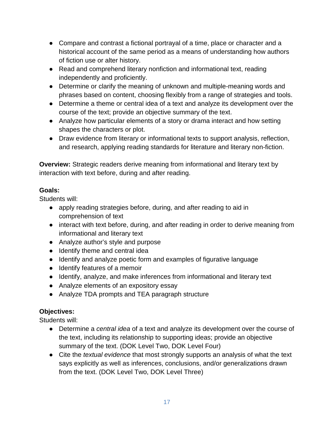- Compare and contrast a fictional portrayal of a time, place or character and a historical account of the same period as a means of understanding how authors of fiction use or alter history.
- Read and comprehend literary nonfiction and informational text, reading independently and proficiently.
- Determine or clarify the meaning of unknown and multiple-meaning words and phrases based on content, choosing flexibly from a range of strategies and tools.
- Determine a theme or central idea of a text and analyze its development over the course of the text; provide an objective summary of the text.
- Analyze how particular elements of a story or drama interact and how setting shapes the characters or plot.
- Draw evidence from literary or informational texts to support analysis, reflection, and research, applying reading standards for literature and literary non-fiction.

**Overview:** Strategic readers derive meaning from informational and literary text by interaction with text before, during and after reading.

### **Goals:**

Students will:

- apply reading strategies before, during, and after reading to aid in comprehension of text
- interact with text before, during, and after reading in order to derive meaning from informational and literary text
- Analyze author's style and purpose
- Identify theme and central idea
- Identify and analyze poetic form and examples of figurative language
- Identify features of a memoir
- Identify, analyze, and make inferences from informational and literary text
- Analyze elements of an expository essay
- Analyze TDA prompts and TEA paragraph structure

## **Objectives:**

Students will:

- Determine a *central idea* of a text and analyze its development over the course of the text, including its relationship to supporting ideas; provide an objective summary of the text. (DOK Level Two, DOK Level Four)
- Cite the *textual evidence* that most strongly supports an analysis of what the text says explicitly as well as inferences, conclusions, and/or generalizations drawn from the text. (DOK Level Two, DOK Level Three)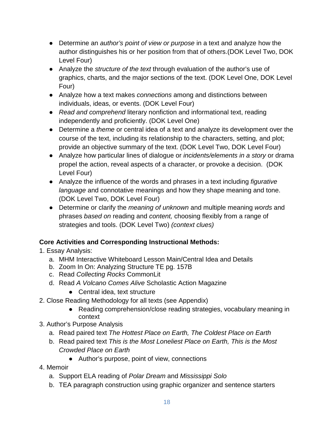- Determine an *author's point of view or purpose* in a text and analyze how the author distinguishes his or her position from that of others.(DOK Level Two, DOK Level Four)
- Analyze the *structure of the text* through evaluation of the author's use of graphics, charts, and the major sections of the text. (DOK Level One, DOK Level Four)
- Analyze how a text makes *connections* among and distinctions between individuals, ideas, or events. (DOK Level Four)
- *Read and comprehend* literary nonfiction and informational text, reading independently and proficiently. (DOK Level One)
- Determine a *theme* or central idea of a text and analyze its development over the course of the text, including its relationship to the characters, setting, and plot; provide an objective summary of the text. (DOK Level Two, DOK Level Four)
- Analyze how particular lines of dialogue or *incidents/elements in a story* or drama propel the action, reveal aspects of a character, or provoke a decision. (DOK Level Four)
- Analyze the influence of the words and phrases in a text including *figurative language* and connotative meanings and how they shape meaning and tone. (DOK Level Two, DOK Level Four)
- Determine or clarify the *meaning of unknown* and multiple meaning *words* and phrases *based on* reading and *content,* choosing flexibly from a range of strategies and tools. (DOK Level Two) *(context clues)*

## **Core Activities and Corresponding Instructional Methods:**

- 1. Essay Analysis:
	- a. MHM Interactive Whiteboard Lesson Main/Central Idea and Details
	- b. Zoom In On: Analyzing Structure TE pg. 157B
	- c. Read *Collecting Rocks* CommonLit
	- d. Read *A Volcano Comes Alive* Scholastic Action Magazine
		- Central idea, text structure
- 2. Close Reading Methodology for all texts (see Appendix)
	- Reading comprehension/close reading strategies, vocabulary meaning in context
- 3. Author's Purpose Analysis
	- a. Read paired text *The Hottest Place on Earth, The Coldest Place on Earth*
	- b. Read paired text *This is the Most Loneliest Place on Earth, This is the Most Crowded Place on Earth*
		- Author's purpose, point of view, connections
- 4. Memoir
	- a. Support ELA reading of *Polar Dream* and *Mississippi Solo*
	- b. TEA paragraph construction using graphic organizer and sentence starters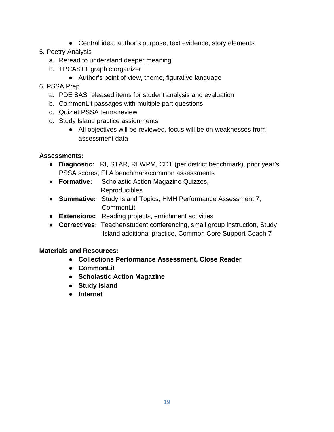- Central idea, author's purpose, text evidence, story elements
- 5. Poetry Analysis
	- a. Reread to understand deeper meaning
	- b. TPCASTT graphic organizer
		- Author's point of view, theme, figurative language

#### 6. PSSA Prep

- a. PDE SAS released items for student analysis and evaluation
- b. CommonLit passages with multiple part questions
- c. Quizlet PSSA terms review
- d. Study Island practice assignments
	- All objectives will be reviewed, focus will be on weaknesses from assessment data

#### **Assessments:**

- **Diagnostic:** RI, STAR, RI WPM, CDT (per district benchmark), prior year's PSSA scores, ELA benchmark/common assessments
- **Formative:** Scholastic Action Magazine Quizzes, Reproducibles
- **Summative:** Study Island Topics, HMH Performance Assessment 7, **CommonLit**
- **Extensions:** Reading projects, enrichment activities
- **Correctives:** Teacher/student conferencing, small group instruction, Study Island additional practice, Common Core Support Coach 7

#### **Materials and Resources:**

- **Collections Performance Assessment, Close Reader**
- **CommonLit**
- **Scholastic Action Magazine**
- **Study Island**
- **Internet**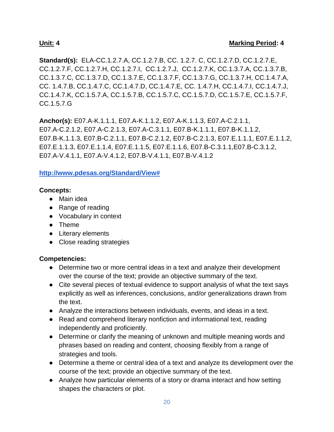**Standard(s):** ELA-CC.1.2.7.A, CC.1.2.7.B, CC. 1.2.7. C, CC.1.2.7.D, CC.1.2.7.E, CC.1.2.7.F, CC.1.2.7.H, CC.1.2.7.I, CC.1.2.7.J, CC.1.2.7.K, CC.1.3.7.A, CC.1.3.7.B, CC.1.3.7.C, CC.1.3.7.D, CC.1.3.7.E, CC.1.3.7.F, CC.1.3.7.G, CC.1.3.7.H, CC.1.4.7.A, CC. 1.4.7.B, CC.1.4.7.C, CC.1.4.7.D, CC.1.4.7.E, CC. 1.4.7.H, CC.1.4.7.I, CC.1.4.7.J, CC.1.4.7.K, CC.1.5.7.A, CC.1.5.7.B, CC.1.5.7.C, CC.1.5.7.D, CC.1.5.7.E, CC.1.5.7.F, CC.1.5.7.G

**Anchor(s):** E07.A-K.1.1.1, E07.A-K.1.1.2, E07.A-K.1.1.3, E07.A-C.2.1.1, E07.A-C.2.1.2, E07.A-C.2.1.3, E07.A-C.3.1.1, E07.B-K.1.1.1, E07.B-K.1.1.2, E07.B-K.1.1.3, E07.B-C.2.1.1, E07.B-C.2.1.2, E07.B-C.2.1.3, E07.E.1.1.1, E07.E.1.1.2, E07.E.1.1.3, E07.E.1.1.4, E07.E.1.1.5, E07.E.1.1.6, E07.B-C.3.1.1,E07.B-C.3.1.2, E07.A-V.4.1.1, E07.A-V.4.1.2, E07.B-V.4.1.1, E07.B-V.4.1.2

#### **[http://www.pdesas.org/Standard/View#](http://www.pdesas.org/Standard/View)**

#### **Concepts:**

- Main idea
- Range of reading
- Vocabulary in context
- Theme
- Literary elements
- Close reading strategies

#### **Competencies:**

- Determine two or more central ideas in a text and analyze their development over the course of the text; provide an objective summary of the text.
- Cite several pieces of textual evidence to support analysis of what the text says explicitly as well as inferences, conclusions, and/or generalizations drawn from the text.
- Analyze the interactions between individuals, events, and ideas in a text.
- Read and comprehend literary nonfiction and informational text, reading independently and proficiently.
- Determine or clarify the meaning of unknown and multiple meaning words and phrases based on reading and content, choosing flexibly from a range of strategies and tools.
- Determine a theme or central idea of a text and analyze its development over the course of the text; provide an objective summary of the text.
- Analyze how particular elements of a story or drama interact and how setting shapes the characters or plot.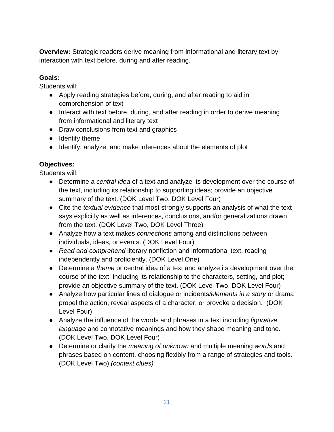**Overview:** Strategic readers derive meaning from informational and literary text by interaction with text before, during and after reading.

#### **Goals:**

Students will:

- Apply reading strategies before, during, and after reading to aid in comprehension of text
- Interact with text before, during, and after reading in order to derive meaning from informational and literary text
- Draw conclusions from text and graphics
- Identify theme
- Identify, analyze, and make inferences about the elements of plot

## **Objectives:**

Students will:

- Determine a *central idea* of a text and analyze its development over the course of the text, including its relationship to supporting ideas; provide an objective summary of the text. (DOK Level Two, DOK Level Four)
- Cite the *textual evidence* that most strongly supports an analysis of what the text says explicitly as well as inferences, conclusions, and/or generalizations drawn from the text. (DOK Level Two, DOK Level Three)
- Analyze how a text makes *connections* among and distinctions between individuals, ideas, or events. (DOK Level Four)
- *Read and comprehend* literary nonfiction and informational text, reading independently and proficiently. (DOK Level One)
- Determine a *theme* or central idea of a text and analyze its development over the course of the text, including its relationship to the characters, setting, and plot; provide an objective summary of the text. (DOK Level Two, DOK Level Four)
- Analyze how particular lines of dialogue or incidents*/elements in a story* or drama propel the action, reveal aspects of a character, or provoke a decision. (DOK Level Four)
- Analyze the influence of the words and phrases in a text including *figurative language* and connotative meanings and how they shape meaning and tone. (DOK Level Two, DOK Level Four)
- Determine or clarify the *meaning of unknown* and multiple meaning *words* and phrases based on content, choosing flexibly from a range of strategies and tools. (DOK Level Two) *(context clues)*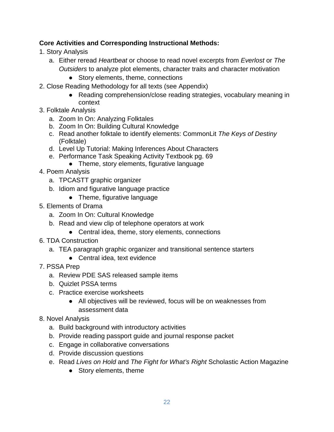### **Core Activities and Corresponding Instructional Methods:**

- 1. Story Analysis
	- a. Either reread *Heartbeat* or choose to read novel excerpts from *Everlost* or *The Outsiders* to analyze plot elements, character traits and character motivation
		- Story elements, theme, connections
- 2. Close Reading Methodology for all texts (see Appendix)
	- Reading comprehension/close reading strategies, vocabulary meaning in context
- 3. Folktale Analysis
	- a. Zoom In On: Analyzing Folktales
	- b. Zoom In On: Building Cultural Knowledge
	- c. Read another folktale to identify elements: CommonLit *The Keys of Destiny*  (Folktale)
	- d. Level Up Tutorial: Making Inferences About Characters
	- e. Performance Task Speaking Activity Textbook pg. 69
		- Theme, story elements, figurative language
- 4. Poem Analysis
	- a. TPCASTT graphic organizer
	- b. Idiom and figurative language practice
		- Theme, figurative language
- 5. Elements of Drama
	- a. Zoom In On: Cultural Knowledge
	- b. Read and view clip of telephone operators at work
		- Central idea, theme, story elements, connections
- 6. TDA Construction
	- a. TEA paragraph graphic organizer and transitional sentence starters
		- Central idea, text evidence
- 7. PSSA Prep
	- a. Review PDE SAS released sample items
	- b. Quizlet PSSA terms
	- c. Practice exercise worksheets
		- All objectives will be reviewed, focus will be on weaknesses from assessment data
- 8. Novel Analysis
	- a. Build background with introductory activities
	- b. Provide reading passport guide and journal response packet
	- c. Engage in collaborative conversations
	- d. Provide discussion questions
	- e. Read *Lives on Hold* and *The Fight for What's Right* Scholastic Action Magazine
		- Story elements, theme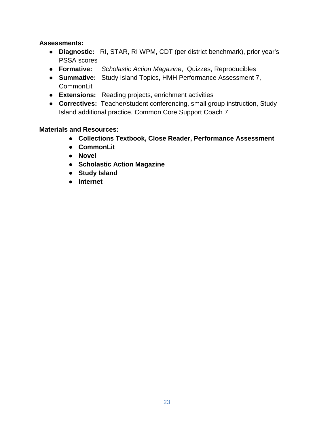#### **Assessments:**

- **Diagnostic:** RI, STAR, RI WPM, CDT (per district benchmark), prior year's PSSA scores
- **Formative:** *Scholastic Action Magazine*, Quizzes, Reproducibles
- **Summative:** Study Island Topics, HMH Performance Assessment 7, CommonLit
- **Extensions:** Reading projects, enrichment activities
- **Correctives:** Teacher/student conferencing, small group instruction, Study Island additional practice, Common Core Support Coach 7

#### **Materials and Resources:**

- **Collections Textbook, Close Reader, Performance Assessment**
- **CommonLit**
- **Novel**
- **Scholastic Action Magazine**
- **Study Island**
- **Internet**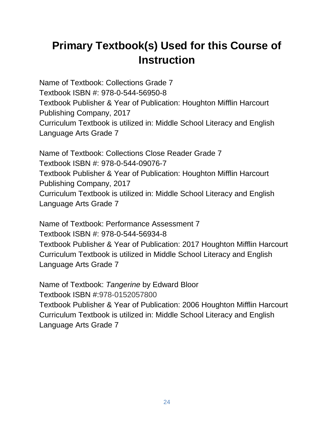# **Primary Textbook(s) Used for this Course of Instruction**

Name of Textbook: Collections Grade 7 Textbook ISBN #: 978-0-544-56950-8 Textbook Publisher & Year of Publication: Houghton Mifflin Harcourt Publishing Company, 2017 Curriculum Textbook is utilized in: Middle School Literacy and English Language Arts Grade 7

Name of Textbook: Collections Close Reader Grade 7 Textbook ISBN #: 978-0-544-09076-7 Textbook Publisher & Year of Publication: Houghton Mifflin Harcourt Publishing Company, 2017 Curriculum Textbook is utilized in: Middle School Literacy and English Language Arts Grade 7

Name of Textbook: Performance Assessment 7 Textbook ISBN #: 978-0-544-56934-8 Textbook Publisher & Year of Publication: 2017 Houghton Mifflin Harcourt Curriculum Textbook is utilized in Middle School Literacy and English Language Arts Grade 7

Name of Textbook: *Tangerine* by Edward Bloor Textbook ISBN #:978-0152057800 Textbook Publisher & Year of Publication: 2006 Houghton Mifflin Harcourt Curriculum Textbook is utilized in: Middle School Literacy and English Language Arts Grade 7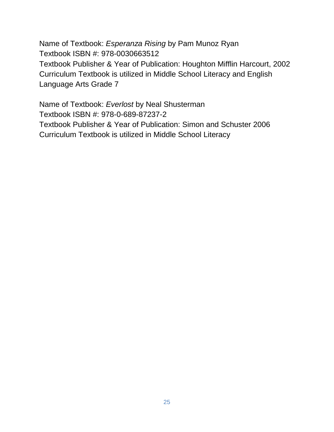Name of Textbook: *Esperanza Rising* by Pam Munoz Ryan Textbook ISBN #: 978-0030663512 Textbook Publisher & Year of Publication: Houghton Mifflin Harcourt, 2002 Curriculum Textbook is utilized in Middle School Literacy and English Language Arts Grade 7

Name of Textbook: *Everlost* by Neal Shusterman Textbook ISBN #: 978-0-689-87237-2 Textbook Publisher & Year of Publication: Simon and Schuster 2006 Curriculum Textbook is utilized in Middle School Literacy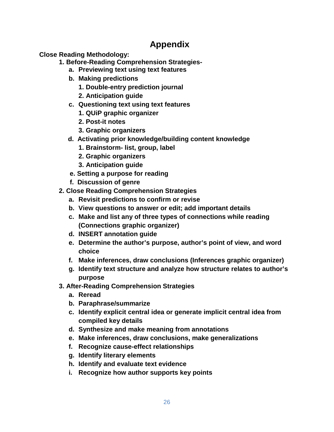# **Appendix**

**Close Reading Methodology:**

- **1. Before-Reading Comprehension Strategies**
	- **a. Previewing text using text features**
	- **b. Making predictions**
		- **1. Double-entry prediction journal**
		- **2. Anticipation guide**
	- **c. Questioning text using text features**
		- **1. QUiP graphic organizer**
		- **2. Post-it notes**
		- **3. Graphic organizers**
	- **d. Activating prior knowledge/building content knowledge**
		- **1. Brainstorm- list, group, label**
		- **2. Graphic organizers**
		- **3. Anticipation guide**
	- **e. Setting a purpose for reading**
	- **f. Discussion of genre**
- **2. Close Reading Comprehension Strategies**
	- **a. Revisit predictions to confirm or revise**
	- **b. View questions to answer or edit; add important details**
	- **c. Make and list any of three types of connections while reading (Connections graphic organizer)**
	- **d. INSERT annotation guide**
	- **e. Determine the author's purpose, author's point of view, and word choice**
	- **f. Make inferences, draw conclusions (Inferences graphic organizer)**
	- **g. Identify text structure and analyze how structure relates to author's purpose**
- **3. After-Reading Comprehension Strategies**
	- **a. Reread**
	- **b. Paraphrase/summarize**
	- **c. Identify explicit central idea or generate implicit central idea from compiled key details**
	- **d. Synthesize and make meaning from annotations**
	- **e. Make inferences, draw conclusions, make generalizations**
	- **f. Recognize cause-effect relationships**
	- **g. Identify literary elements**
	- **h. Identify and evaluate text evidence**
	- **i. Recognize how author supports key points**